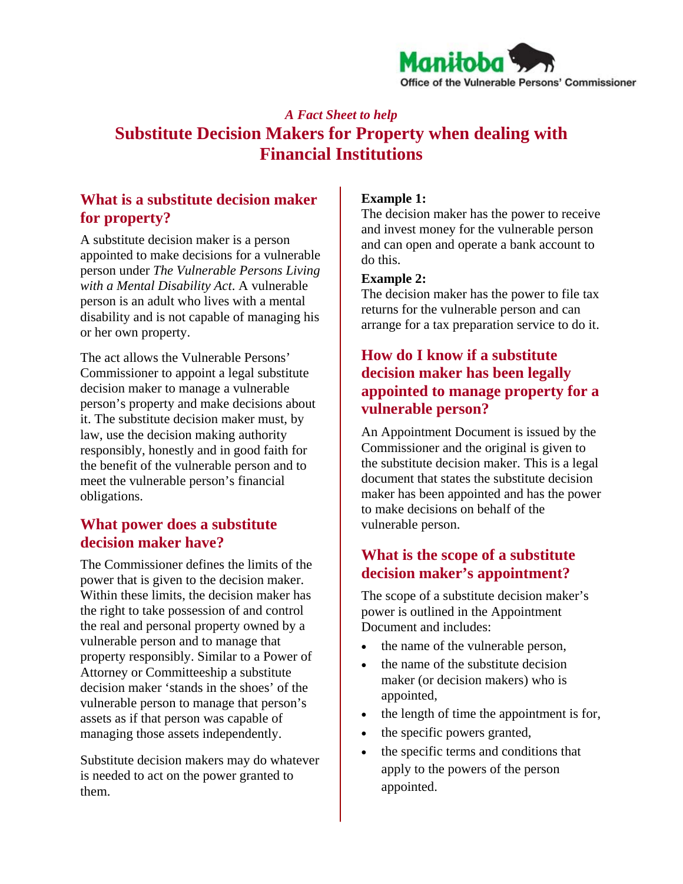

# *A Fact Sheet to help*  **Substitute Decision Makers for Property when dealing with Financial Institutions**

## **What is a substitute decision maker for property?**

A substitute decision maker is a person appointed to make decisions for a vulnerable person under *The Vulnerable Persons Living with a Mental Disability Act*. A vulnerable person is an adult who lives with a mental disability and is not capable of managing his or her own property.

The act allows the Vulnerable Persons' Commissioner to appoint a legal substitute decision maker to manage a vulnerable person's property and make decisions about it. The substitute decision maker must, by law, use the decision making authority responsibly, honestly and in good faith for the benefit of the vulnerable person and to meet the vulnerable person's financial obligations.

### **What power does a substitute decision maker have?**

The Commissioner defines the limits of the power that is given to the decision maker. Within these limits, the decision maker has the right to take possession of and control the real and personal property owned by a vulnerable person and to manage that property responsibly. Similar to a Power of Attorney or Committeeship a substitute decision maker 'stands in the shoes' of the vulnerable person to manage that person's assets as if that person was capable of managing those assets independently.

Substitute decision makers may do whatever is needed to act on the power granted to them.

#### **Example 1:**

The decision maker has the power to receive and invest money for the vulnerable person and can open and operate a bank account to do this.

#### **Example 2:**

The decision maker has the power to file tax returns for the vulnerable person and can arrange for a tax preparation service to do it.

## **How do I know if a substitute decision maker has been legally appointed to manage property for a vulnerable person?**

An Appointment Document is issued by the Commissioner and the original is given to the substitute decision maker. This is a legal document that states the substitute decision maker has been appointed and has the power to make decisions on behalf of the vulnerable person.

## **What is the scope of a substitute decision maker's appointment?**

The scope of a substitute decision maker's power is outlined in the Appointment Document and includes:

- the name of the vulnerable person,
- the name of the substitute decision maker (or decision makers) who is appointed,
- the length of time the appointment is for,
- the specific powers granted,
- the specific terms and conditions that apply to the powers of the person appointed.